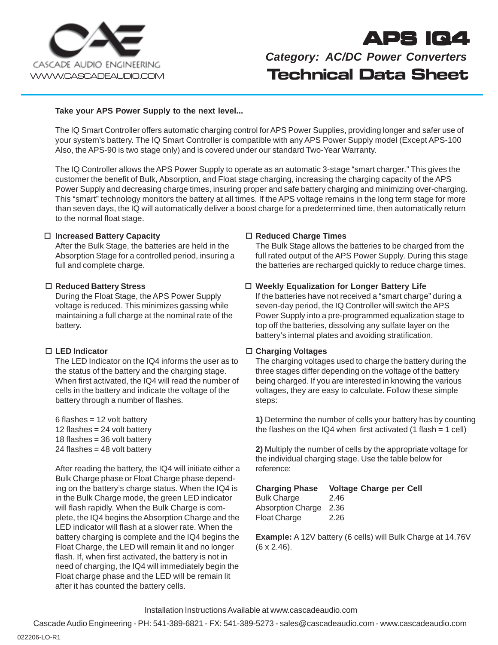

# **APS IQ4**

**Technical Data Sheet** *Category: AC/DC Power Converters*

#### **Take your APS Power Supply to the next level...**

The IQ Smart Controller offers automatic charging control for APS Power Supplies, providing longer and safer use of your system's battery. The IQ Smart Controller is compatible with any APS Power Supply model (Except APS-100 Also, the APS-90 is two stage only) and is covered under our standard Two-Year Warranty.

The IQ Controller allows the APS Power Supply to operate as an automatic 3-stage "smart charger." This gives the customer the benefit of Bulk, Absorption, and Float stage charging, increasing the charging capacity of the APS Power Supply and decreasing charge times, insuring proper and safe battery charging and minimizing over-charging. This "smart" technology monitors the battery at all times. If the APS voltage remains in the long term stage for more than seven days, the IQ will automatically deliver a boost charge for a predetermined time, then automatically return to the normal float stage.

#### **Increased Battery Capacity**

After the Bulk Stage, the batteries are held in the Absorption Stage for a controlled period, insuring a full and complete charge.

#### **Reduced Battery Stress**

During the Float Stage, the APS Power Supply voltage is reduced. This minimizes gassing while maintaining a full charge at the nominal rate of the battery.

# **LED Indicator**

The LED Indicator on the IQ4 informs the user as to the status of the battery and the charging stage. When first activated, the IQ4 will read the number of cells in the battery and indicate the voltage of the battery through a number of flashes.

 $6$  flashes = 12 volt battery 12 flashes = 24 volt battery 18 flashes = 36 volt battery  $24$  flashes = 48 volt battery

After reading the battery, the IQ4 will initiate either a Bulk Charge phase or Float Charge phase depending on the battery's charge status. When the IQ4 is in the Bulk Charge mode, the green LED indicator will flash rapidly. When the Bulk Charge is complete, the IQ4 begins the Absorption Charge and the LED indicator will flash at a slower rate. When the battery charging is complete and the IQ4 begins the Float Charge, the LED will remain lit and no longer flash. If, when first activated, the battery is not in need of charging, the IQ4 will immediately begin the Float charge phase and the LED will be remain lit after it has counted the battery cells.

#### **Reduced Charge Times**

The Bulk Stage allows the batteries to be charged from the full rated output of the APS Power Supply. During this stage the batteries are recharged quickly to reduce charge times.

#### **Weekly Equalization for Longer Battery Life**

If the batteries have not received a "smart charge" during a seven-day period, the IQ Controller will switch the APS Power Supply into a pre-programmed equalization stage to top off the batteries, dissolving any sulfate layer on the battery's internal plates and avoiding stratification.

#### **Charging Voltages**

The charging voltages used to charge the battery during the three stages differ depending on the voltage of the battery being charged. If you are interested in knowing the various voltages, they are easy to calculate. Follow these simple steps:

**1)** Determine the number of cells your battery has by counting the flashes on the IQ4 when first activated (1 flash =  $1$  cell)

**2)** Multiply the number of cells by the appropriate voltage for the individual charging stage. Use the table below for reference:

| <b>Charging Phase</b> | <b>Voltage Charge per Cell</b> |
|-----------------------|--------------------------------|
| <b>Bulk Charge</b>    | 2.46                           |

| Absorption Charge   | 2.36 |
|---------------------|------|
| <b>Float Charge</b> | 2.26 |

**Example:** A 12V battery (6 cells) will Bulk Charge at 14.76V (6 x 2.46).

Installation Instructions Available at www.cascadeaudio.com

Cascade Audio Engineering - PH: 541-389-6821 - FX: 541-389-5273 - sales@cascadeaudio.com - www.cascadeaudio.com